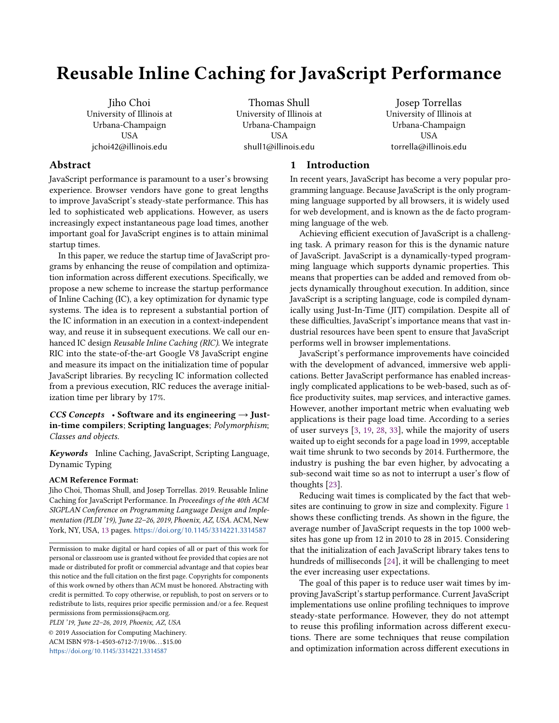# Reusable Inline Caching for JavaScript Performance

Jiho Choi University of Illinois at Urbana-Champaign USA jchoi42@illinois.edu

Thomas Shull University of Illinois at Urbana-Champaign USA shull1@illinois.edu

Josep Torrellas University of Illinois at Urbana-Champaign USA torrella@illinois.edu

# Abstract

JavaScript performance is paramount to a user's browsing experience. Browser vendors have gone to great lengths to improve JavaScript's steady-state performance. This has led to sophisticated web applications. However, as users increasingly expect instantaneous page load times, another important goal for JavaScript engines is to attain minimal startup times.

In this paper, we reduce the startup time of JavaScript programs by enhancing the reuse of compilation and optimization information across different executions. Specifically, we propose a new scheme to increase the startup performance of Inline Caching (IC), a key optimization for dynamic type systems. The idea is to represent a substantial portion of the IC information in an execution in a context-independent way, and reuse it in subsequent executions. We call our enhanced IC design Reusable Inline Caching (RIC). We integrate RIC into the state-of-the-art Google V8 JavaScript engine and measure its impact on the initialization time of popular JavaScript libraries. By recycling IC information collected from a previous execution, RIC reduces the average initialization time per library by 17%.

## CCS Concepts • Software and its engineering  $\rightarrow$  Justin-time compilers; Scripting languages; Polymorphism; Classes and objects.

Keywords Inline Caching, JavaScript, Scripting Language, Dynamic Typing

#### ACM Reference Format:

Jiho Choi, Thomas Shull, and Josep Torrellas. 2019. Reusable Inline Caching for JavaScript Performance. In Proceedings of the 40th ACM SIGPLAN Conference on Programming Language Design and Implementation (PLDI '19), June 22-26, 2019, Phoenix, AZ, USA. ACM, New York, NY, USA, [13](#page-12-0) pages. <https://doi.org/10.1145/3314221.3314587>

PLDI '19, June 22–26, 2019, Phoenix, AZ, USA

© 2019 Association for Computing Machinery. ACM ISBN 978-1-4503-6712-7/19/06. . . \$15.00 <https://doi.org/10.1145/3314221.3314587>

# <span id="page-0-0"></span>1 Introduction

In recent years, JavaScript has become a very popular programming language. Because JavaScript is the only programming language supported by all browsers, it is widely used for web development, and is known as the de facto programming language of the web.

Achieving efficient execution of JavaScript is a challenging task. A primary reason for this is the dynamic nature of JavaScript. JavaScript is a dynamically-typed programming language which supports dynamic properties. This means that properties can be added and removed from objects dynamically throughout execution. In addition, since JavaScript is a scripting language, code is compiled dynamically using Just-In-Time (JIT) compilation. Despite all of these difficulties, JavaScript's importance means that vast industrial resources have been spent to ensure that JavaScript performs well in browser implementations.

JavaScript's performance improvements have coincided with the development of advanced, immersive web applications. Better JavaScript performance has enabled increasingly complicated applications to be web-based, such as office productivity suites, map services, and interactive games. However, another important metric when evaluating web applications is their page load time. According to a series of user surveys [\[3,](#page-12-1) [19,](#page-12-2) [28,](#page-12-3) [33\]](#page-12-4), while the majority of users waited up to eight seconds for a page load in 1999, acceptable wait time shrunk to two seconds by 2014. Furthermore, the industry is pushing the bar even higher, by advocating a sub-second wait time so as not to interrupt a user's flow of thoughts [\[23\]](#page-12-5).

Reducing wait times is complicated by the fact that websites are continuing to grow in size and complexity. Figure [1](#page-1-0) shows these conflicting trends. As shown in the figure, the average number of JavaScript requests in the top 1000 websites has gone up from 12 in 2010 to 28 in 2015. Considering that the initialization of each JavaScript library takes tens to hundreds of milliseconds [\[24\]](#page-12-6), it will be challenging to meet the ever increasing user expectations.

The goal of this paper is to reduce user wait times by improving JavaScript's startup performance. Current JavaScript implementations use online profiling techniques to improve steady-state performance. However, they do not attempt to reuse this profiling information across different executions. There are some techniques that reuse compilation and optimization information across different executions in

Permission to make digital or hard copies of all or part of this work for personal or classroom use is granted without fee provided that copies are not made or distributed for profit or commercial advantage and that copies bear this notice and the full citation on the first page. Copyrights for components of this work owned by others than ACM must be honored. Abstracting with credit is permitted. To copy otherwise, or republish, to post on servers or to redistribute to lists, requires prior specific permission and/or a fee. Request permissions from permissions@acm.org.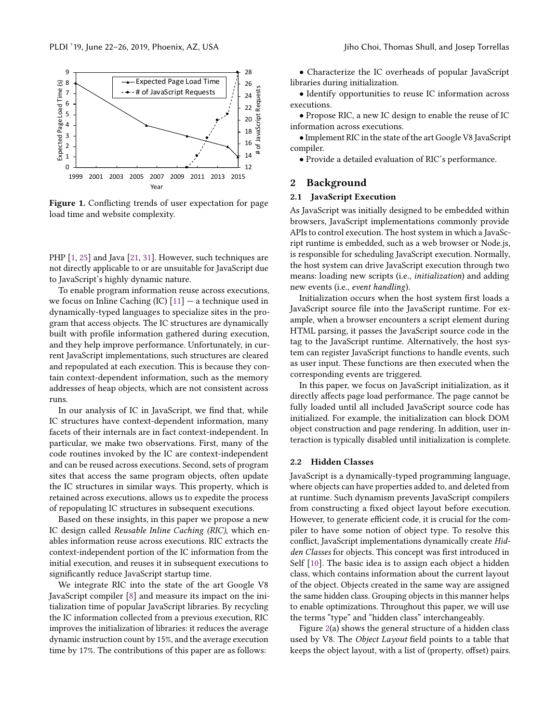<span id="page-1-0"></span>

Figure 1. Conflicting trends of user expectation for page load time and website complexity.

PHP [\[1,](#page-12-7) [25\]](#page-12-8) and Java [\[21,](#page-12-9) [31\]](#page-12-10). However, such techniques are not directly applicable to or are unsuitable for JavaScript due to JavaScript's highly dynamic nature.

To enable program information reuse across executions, we focus on Inline Caching  $(IC)$   $[11]$  – a technique used in dynamically-typed languages to specialize sites in the program that access objects. The IC structures are dynamically built with profile information gathered during execution, and they help improve performance. Unfortunately, in current JavaScript implementations, such structures are cleared and repopulated at each execution. This is because they contain context-dependent information, such as the memory addresses of heap objects, which are not consistent across runs.

In our analysis of IC in JavaScript, we find that, while IC structures have context-dependent information, many facets of their internals are in fact context-independent. In particular, we make two observations. First, many of the code routines invoked by the IC are context-independent and can be reused across executions. Second, sets of program sites that access the same program objects, often update the IC structures in similar ways. This property, which is retained across executions, allows us to expedite the process of repopulating IC structures in subsequent executions.

Based on these insights, in this paper we propose a new IC design called Reusable Inline Caching (RIC), which enables information reuse across executions. RIC extracts the context-independent portion of the IC information from the initial execution, and reuses it in subsequent executions to significantly reduce JavaScript startup time.

We integrate RIC into the state of the art Google V8 JavaScript compiler [\[8\]](#page-12-12) and measure its impact on the initialization time of popular JavaScript libraries. By recycling the IC information collected from a previous execution, RIC improves the initialization of libraries: it reduces the average dynamic instruction count by 15%, and the average execution time by 17%. The contributions of this paper are as follows:

• Characterize the IC overheads of popular JavaScript libraries during initialization.

• Identify opportunities to reuse IC information across executions.

• Propose RIC, a new IC design to enable the reuse of IC information across executions.

• Implement RIC in the state of the art Google V8 JavaScript compiler.

• Provide a detailed evaluation of RIC's performance.

## 2 Background

## 2.1 JavaScript Execution

As JavaScript was initially designed to be embedded within browsers, JavaScript implementations commonly provide APIs to control execution. The host system in which a JavaScript runtime is embedded, such as a web browser or Node.js, is responsible for scheduling JavaScript execution. Normally, the host system can drive JavaScript execution through two means: loading new scripts (i.e., initialization) and adding new events (i.e., event handling).

Initialization occurs when the host system first loads a JavaScript source file into the JavaScript runtime. For example, when a browser encounters a script element during HTML parsing, it passes the JavaScript source code in the tag to the JavaScript runtime. Alternatively, the host system can register JavaScript functions to handle events, such as user input. These functions are then executed when the corresponding events are triggered.

In this paper, we focus on JavaScript initialization, as it directly affects page load performance. The page cannot be fully loaded until all included JavaScript source code has initialized. For example, the initialization can block DOM object construction and page rendering. In addition, user interaction is typically disabled until initialization is complete.

#### 2.2 Hidden Classes

JavaScript is a dynamically-typed programming language, where objects can have properties added to, and deleted from at runtime. Such dynamism prevents JavaScript compilers from constructing a fixed object layout before execution. However, to generate efficient code, it is crucial for the compiler to have some notion of object type. To resolve this conflict, JavaScript implementations dynamically create Hidden Classes for objects. This concept was first introduced in Self [\[10\]](#page-12-13). The basic idea is to assign each object a hidden class, which contains information about the current layout of the object. Objects created in the same way are assigned the same hidden class. Grouping objects in this manner helps to enable optimizations. Throughout this paper, we will use the terms "type" and "hidden class" interchangeably.

Figure [2\(](#page-2-0)a) shows the general structure of a hidden class used by V8. The Object Layout field points to a table that keeps the object layout, with a list of (property, offset) pairs.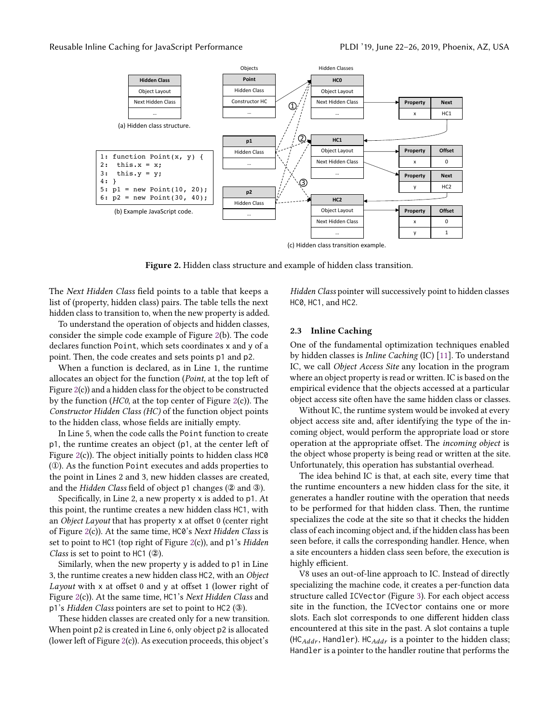<span id="page-2-0"></span>

Figure 2. Hidden class structure and example of hidden class transition.

The Next Hidden Class field points to a table that keeps a list of (property, hidden class) pairs. The table tells the next hidden class to transition to, when the new property is added.

To understand the operation of objects and hidden classes, consider the simple code example of Figure [2\(](#page-2-0)b). The code declares function Point, which sets coordinates x and y of a point. Then, the code creates and sets points p1 and p2.

When a function is declared, as in Line 1, the runtime allocates an object for the function (Point, at the top left of Figure [2\(](#page-2-0)c)) and a hidden class for the object to be constructed by the function (HC0, at the top center of Figure [2\(](#page-2-0)c)). The Constructor Hidden Class (HC) of the function object points to the hidden class, whose fields are initially empty.

In Line 5, when the code calls the Point function to create p1, the runtime creates an object (p1, at the center left of Figure [2\(](#page-2-0)c)). The object initially points to hidden class HC0 (①). As the function Point executes and adds properties to the point in Lines 2 and 3, new hidden classes are created, and the Hidden Class field of object p1 changes (② and ③).

Specifically, in Line 2, a new property x is added to p1. At this point, the runtime creates a new hidden class HC1, with an Object Layout that has property x at offset 0 (center right of Figure [2\(](#page-2-0)c)). At the same time, HC0's Next Hidden Class is set to point to HC1 (top right of Figure [2\(](#page-2-0)c)), and p1's Hidden Class is set to point to HC1 (②).

Similarly, when the new property y is added to p1 in Line 3, the runtime creates a new hidden class HC2, with an Object Layout with x at offset 0 and y at offset 1 (lower right of Figure [2\(](#page-2-0)c)). At the same time, HC1's Next Hidden Class and p1's Hidden Class pointers are set to point to HC2 (③).

These hidden classes are created only for a new transition. When point p2 is created in Line 6, only object p2 is allocated (lower left of Figure [2\(](#page-2-0)c)). As execution proceeds, this object's

Hidden Class pointer will successively point to hidden classes HC0, HC1, and HC2.

## 2.3 Inline Caching

One of the fundamental optimization techniques enabled by hidden classes is Inline Caching (IC) [\[11\]](#page-12-11). To understand IC, we call Object Access Site any location in the program where an object property is read or written. IC is based on the empirical evidence that the objects accessed at a particular object access site often have the same hidden class or classes.

Without IC, the runtime system would be invoked at every object access site and, after identifying the type of the incoming object, would perform the appropriate load or store operation at the appropriate offset. The incoming object is the object whose property is being read or written at the site. Unfortunately, this operation has substantial overhead.

The idea behind IC is that, at each site, every time that the runtime encounters a new hidden class for the site, it generates a handler routine with the operation that needs to be performed for that hidden class. Then, the runtime specializes the code at the site so that it checks the hidden class of each incoming object and, if the hidden class has been seen before, it calls the corresponding handler. Hence, when a site encounters a hidden class seen before, the execution is highly efficient.

V8 uses an out-of-line approach to IC. Instead of directly specializing the machine code, it creates a per-function data structure called ICVector (Figure [3\)](#page-3-0). For each object access site in the function, the ICVector contains one or more slots. Each slot corresponds to one different hidden class encountered at this site in the past. A slot contains a tuple (HC<sub>Addr</sub>, Handler). HC<sub>Addr</sub> is a pointer to the hidden class; Handler is a pointer to the handler routine that performs the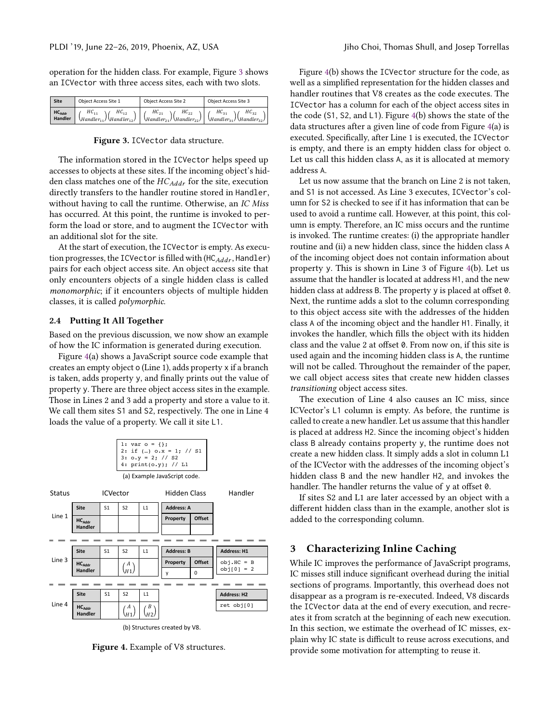operation for the hidden class. For example, Figure [3](#page-3-0) shows an ICVector with three access sites, each with two slots.

<span id="page-3-0"></span>

| Site                   | Object Access Site 1                                                                          | Object Access Site 2                                                                          | Object Access Site 3                                                                                |  |
|------------------------|-----------------------------------------------------------------------------------------------|-----------------------------------------------------------------------------------------------|-----------------------------------------------------------------------------------------------------|--|
| $HC_{Addr}$<br>Handler | $HC_{12}$<br>$HC_{11}$<br>$\langle$ Handler <sub>11</sub> / $\langle$ Handler <sub>12</sub> / | $HC_{22}$<br>$HC_{21}$<br>$\langle$ Handler <sub>21</sub> / $\langle$ Handler <sub>22</sub> / | $HC_{32}$<br>$HC_{31}$<br>$\langle$ Handler <sub>31</sub> $\langle$ Handler <sub>32</sub> $\rangle$ |  |

#### Figure 3. ICVector data structure.

The information stored in the ICVector helps speed up accesses to objects at these sites. If the incoming object's hidden class matches one of the  $HC_{Addr}$  for the site, execution directly transfers to the handler routine stored in Handler, without having to call the runtime. Otherwise, an IC Miss has occurred. At this point, the runtime is invoked to perform the load or store, and to augment the ICVector with an additional slot for the site.

At the start of execution, the ICVector is empty. As execution progresses, the ICVector is filled with  $(HC_{Addr}$ , Handler) pairs for each object access site. An object access site that only encounters objects of a single hidden class is called monomorphic; if it encounters objects of multiple hidden classes, it is called polymorphic.

# <span id="page-3-2"></span>2.4 Putting It All Together

Based on the previous discussion, we now show an example of how the IC information is generated during execution.

Figure [4\(](#page-3-1)a) shows a JavaScript source code example that creates an empty object o (Line 1), adds property x if a branch is taken, adds property y, and finally prints out the value of property y. There are three object access sites in the example. Those in Lines 2 and 3 add a property and store a value to it. We call them sites S1 and S2, respectively. The one in Line 4 loads the value of a property. We call it site L1.

<span id="page-3-1"></span>

(b) Structures created by V8.

Figure 4. Example of V8 structures.

Figure [4\(](#page-3-1)b) shows the ICVector structure for the code, as well as a simplified representation for the hidden classes and handler routines that V8 creates as the code executes. The ICVector has a column for each of the object access sites in the code (S1, S2, and L1). Figure [4\(](#page-3-1)b) shows the state of the data structures after a given line of code from Figure [4\(](#page-3-1)a) is executed. Specifically, after Line 1 is executed, the ICVector is empty, and there is an empty hidden class for object o. Let us call this hidden class A, as it is allocated at memory

address A.

about to a read a radiating each resolver, at this point, and sort turn is empty. Therefore, an IC miss occurs and the runtime is invoked. The runtime creates: (i) the appropriate handler ou<br>f 1 property y. This is shown in Line 3 of Figure [4\(](#page-3-1)b). Let us assume that the handler is located at address H1, and the new moden class at address b. The property y is placed at onset of<br>Next, the runtime adds a slot to the column corresponding Let us now assume that the branch on Line 2 is not taken, and S1 is not accessed. As Line 3 executes, ICVector's coland the set of a checked to see a *n* rate internation and can be used to avoid a runtime call. However, at this point, this colis invoked. The runtime creates: (i) the appropriate nandier<br>routine and (ii) a new hidden class, since the hidden class A umn for S2 is checked to see if it has information that can be of the incoming object does not contain information about hidden class at address B. The property y is placed at offset 0. to this object access site with the addresses of the hidden class A of the incoming object and the handler H1. Finally, it invokes the handler, which fills the object with its hidden class and the value 2 at offset 0. From now on, if this site is used again and the incoming hidden class is A, the runtime will not be called. Throughout the remainder of the paper, we call object access sites that create new hidden classes transitioning object access sites.

The execution of Line 4 also causes an IC miss, since ICVector's L1 column is empty. As before, the runtime is called to create a new handler. Let us assume that this handler is placed at address H2. Since the incoming object's hidden class B already contains property y, the runtime does not create a new hidden class. It simply adds a slot in column L1 of the ICVector with the addresses of the incoming object's hidden class B and the new handler H2, and invokes the handler. The handler returns the value of y at offset 0.

If sites S2 and L1 are later accessed by an object with a different hidden class than in the example, another slot is added to the corresponding column.

# <span id="page-3-3"></span>3 Characterizing Inline Caching

While IC improves the performance of JavaScript programs, IC misses still induce significant overhead during the initial sections of programs. Importantly, this overhead does not disappear as a program is re-executed. Indeed, V8 discards the ICVector data at the end of every execution, and recreates it from scratch at the beginning of each new execution. In this section, we estimate the overhead of IC misses, explain why IC state is difficult to reuse across executions, and provide some motivation for attempting to reuse it.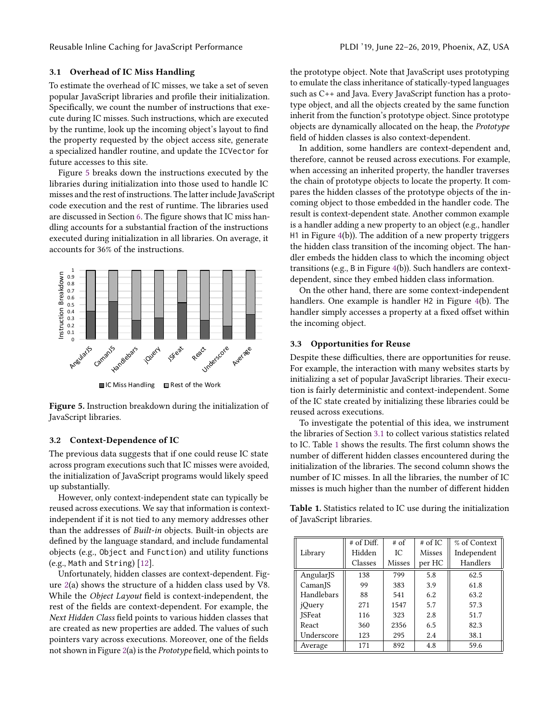#### <span id="page-4-1"></span>3.1 Overhead of IC Miss Handling

To estimate the overhead of IC misses, we take a set of seven popular JavaScript libraries and profile their initialization. Specifically, we count the number of instructions that execute during IC misses. Such instructions, which are executed by the runtime, look up the incoming object's layout to find the property requested by the object access site, generate a specialized handler routine, and update the ICVector for future accesses to this site.

Figure [5](#page-4-0) breaks down the instructions executed by the libraries during initialization into those used to handle IC misses and the rest of instructions. The latter include JavaScript code execution and the rest of runtime. The libraries used are discussed in Section [6.](#page-8-0) The figure shows that IC miss handling accounts for a substantial fraction of the instructions executed during initialization in all libraries. On average, it accounts for 36% of the instructions.

<span id="page-4-0"></span>

**■IC Miss Handling ■ Rest of the Work** 

Figure 5. Instruction breakdown during the initialization of JavaScript libraries.

#### 3.2 Context-Dependence of IC

The previous data suggests that if one could reuse IC state across program executions such that IC misses were avoided, the initialization of JavaScript programs would likely speed up substantially.

However, only context-independent state can typically be reused across executions. We say that information is contextindependent if it is not tied to any memory addresses other than the addresses of Built-in objects. Built-in objects are defined by the language standard, and include fundamental objects (e.g., Object and Function) and utility functions (e.g., Math and String) [\[12\]](#page-12-14).

Unfortunately, hidden classes are context-dependent. Figure [2\(](#page-2-0)a) shows the structure of a hidden class used by V8. While the Object Layout field is context-independent, the rest of the fields are context-dependent. For example, the Next Hidden Class field points to various hidden classes that are created as new properties are added. The values of such pointers vary across executions. Moreover, one of the fields not shown in Figure [2\(](#page-2-0)a) is the Prototype field, which points to

the prototype object. Note that JavaScript uses prototyping to emulate the class inheritance of statically-typed languages such as C++ and Java. Every JavaScript function has a prototype object, and all the objects created by the same function inherit from the function's prototype object. Since prototype objects are dynamically allocated on the heap, the Prototype field of hidden classes is also context-dependent.

In addition, some handlers are context-dependent and, therefore, cannot be reused across executions. For example, when accessing an inherited property, the handler traverses the chain of prototype objects to locate the property. It compares the hidden classes of the prototype objects of the incoming object to those embedded in the handler code. The result is context-dependent state. Another common example is a handler adding a new property to an object (e.g., handler H1 in Figure [4\(](#page-3-1)b)). The addition of a new property triggers the hidden class transition of the incoming object. The handler embeds the hidden class to which the incoming object transitions (e.g., B in Figure [4\(](#page-3-1)b)). Such handlers are contextdependent, since they embed hidden class information.

On the other hand, there are some context-independent handlers. One example is handler H2 in Figure [4\(](#page-3-1)b). The handler simply accesses a property at a fixed offset within the incoming object.

#### <span id="page-4-3"></span>3.3 Opportunities for Reuse

Despite these difficulties, there are opportunities for reuse. For example, the interaction with many websites starts by initializing a set of popular JavaScript libraries. Their execution is fairly deterministic and context-independent. Some of the IC state created by initializing these libraries could be reused across executions.

To investigate the potential of this idea, we instrument the libraries of Section [3.1](#page-4-1) to collect various statistics related to IC. Table [1](#page-4-2) shows the results. The first column shows the number of different hidden classes encountered during the initialization of the libraries. The second column shows the number of IC misses. In all the libraries, the number of IC misses is much higher than the number of different hidden

<span id="page-4-2"></span>Table 1. Statistics related to IC use during the initialization of JavaScript libraries.

|               | $#$ of Diff. | $#$ of IC<br>$# \circ f$ |               | % of Context |  |
|---------------|--------------|--------------------------|---------------|--------------|--|
| Library       | Hidden       | IС                       | <b>Misses</b> | Independent  |  |
|               | Classes      | <b>Misses</b>            | per HC        | Handlers     |  |
| AngularJS     | 138          | 799                      | 5.8           | 62.5         |  |
| CamanJS       | 99           | 383                      | 3.9           | 61.8         |  |
| Handlebars    | 88           | 541                      | 6.2           | 63.2         |  |
| jQuery        | 271          | 1547                     | 5.7           | 57.3         |  |
| <b>ISFeat</b> | 116          | 323                      | 2.8           | 51.7         |  |
| React         | 360          | 2356                     | 6.5           | 82.3         |  |
| Underscore    | 123          | 295                      | 2.4           | 38.1         |  |
| Average       | 171          | 892                      | 4.8           | 59.6         |  |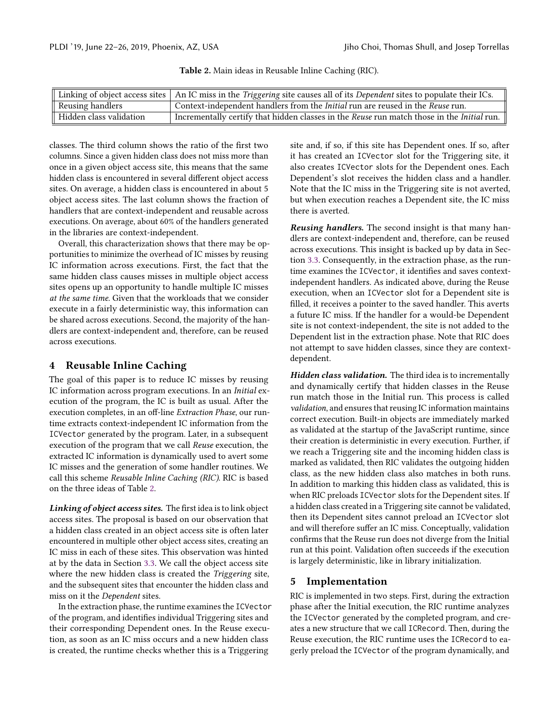Table 2. Main ideas in Reusable Inline Caching (RIC).

<span id="page-5-0"></span>

|                              | Linking of object access sites   An IC miss in the <i>Triggering</i> site causes all of its <i>Dependent</i> sites to populate their ICs. |
|------------------------------|-------------------------------------------------------------------------------------------------------------------------------------------|
| $\parallel$ Reusing handlers | Context-independent handlers from the <i>Initial</i> run are reused in the <i>Reuse</i> run.                                              |
| Hidden class validation      | Incrementally certify that hidden classes in the <i>Reuse</i> run match those in the <i>Initial</i> run.                                  |

classes. The third column shows the ratio of the first two columns. Since a given hidden class does not miss more than once in a given object access site, this means that the same hidden class is encountered in several different object access sites. On average, a hidden class is encountered in about 5 object access sites. The last column shows the fraction of handlers that are context-independent and reusable across executions. On average, about 60% of the handlers generated in the libraries are context-independent.

Overall, this characterization shows that there may be opportunities to minimize the overhead of IC misses by reusing IC information across executions. First, the fact that the same hidden class causes misses in multiple object access sites opens up an opportunity to handle multiple IC misses at the same time. Given that the workloads that we consider execute in a fairly deterministic way, this information can be shared across executions. Second, the majority of the handlers are context-independent and, therefore, can be reused across executions.

# 4 Reusable Inline Caching

The goal of this paper is to reduce IC misses by reusing IC information across program executions. In an Initial execution of the program, the IC is built as usual. After the execution completes, in an off-line Extraction Phase, our runtime extracts context-independent IC information from the ICVector generated by the program. Later, in a subsequent execution of the program that we call Reuse execution, the extracted IC information is dynamically used to avert some IC misses and the generation of some handler routines. We call this scheme Reusable Inline Caching (RIC). RIC is based on the three ideas of Table [2.](#page-5-0)

Linking of object access sites. The first idea is to link object access sites. The proposal is based on our observation that a hidden class created in an object access site is often later encountered in multiple other object access sites, creating an IC miss in each of these sites. This observation was hinted at by the data in Section [3.3.](#page-4-3) We call the object access site where the new hidden class is created the Triggering site, and the subsequent sites that encounter the hidden class and miss on it the Dependent sites.

In the extraction phase, the runtime examines the ICVector of the program, and identifies individual Triggering sites and their corresponding Dependent ones. In the Reuse execution, as soon as an IC miss occurs and a new hidden class is created, the runtime checks whether this is a Triggering

site and, if so, if this site has Dependent ones. If so, after it has created an ICVector slot for the Triggering site, it also creates ICVector slots for the Dependent ones. Each Dependent's slot receives the hidden class and a handler. Note that the IC miss in the Triggering site is not averted, but when execution reaches a Dependent site, the IC miss there is averted.

Reusing handlers. The second insight is that many handlers are context-independent and, therefore, can be reused across executions. This insight is backed up by data in Section [3.3.](#page-4-3) Consequently, in the extraction phase, as the runtime examines the ICVector, it identifies and saves contextindependent handlers. As indicated above, during the Reuse execution, when an ICVector slot for a Dependent site is filled, it receives a pointer to the saved handler. This averts a future IC miss. If the handler for a would-be Dependent site is not context-independent, the site is not added to the Dependent list in the extraction phase. Note that RIC does not attempt to save hidden classes, since they are contextdependent.

Hidden class validation. The third idea is to incrementally and dynamically certify that hidden classes in the Reuse run match those in the Initial run. This process is called validation, and ensures that reusing IC information maintains correct execution. Built-in objects are immediately marked as validated at the startup of the JavaScript runtime, since their creation is deterministic in every execution. Further, if we reach a Triggering site and the incoming hidden class is marked as validated, then RIC validates the outgoing hidden class, as the new hidden class also matches in both runs. In addition to marking this hidden class as validated, this is when RIC preloads ICVector slots for the Dependent sites. If a hidden class created in a Triggering site cannot be validated, then its Dependent sites cannot preload an ICVector slot and will therefore suffer an IC miss. Conceptually, validation confirms that the Reuse run does not diverge from the Initial run at this point. Validation often succeeds if the execution is largely deterministic, like in library initialization.

# 5 Implementation

RIC is implemented in two steps. First, during the extraction phase after the Initial execution, the RIC runtime analyzes the ICVector generated by the completed program, and creates a new structure that we call ICRecord. Then, during the Reuse execution, the RIC runtime uses the ICRecord to eagerly preload the ICVector of the program dynamically, and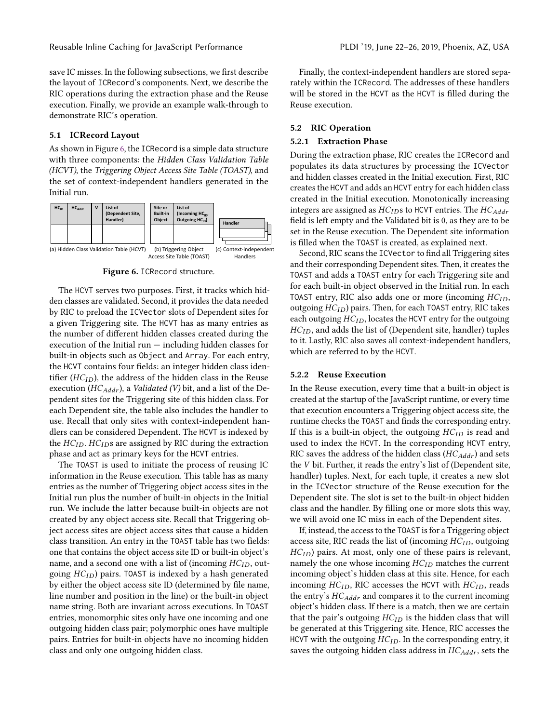save IC misses. In the following subsections, we first describe the layout of ICRecord's components. Next, we describe the RIC operations during the extraction phase and the Reuse execution. Finally, we provide an example walk-through to demonstrate RIC's operation.

## 5.1 ICRecord Layout

As shown in Figure [6,](#page-6-0) the ICRecord is a simple data structure with three components: the Hidden Class Validation Table (HCVT), the Triggering Object Access Site Table (TOAST), and the set of context-independent handlers generated in the Initial run.

<span id="page-6-0"></span>

Figure 6. ICRecord structure.

The HCVT serves two purposes. First, it tracks which hidden classes are validated. Second, it provides the data needed by RIC to preload the ICVector slots of Dependent sites for a given Triggering site. The HCVT has as many entries as the number of different hidden classes created during the execution of the Initial run — including hidden classes for built-in objects such as Object and Array. For each entry, the HCVT contains four fields: an integer hidden class identifier ( $HC_{ID}$ ), the address of the hidden class in the Reuse execution ( $HC_{Addr}$ ), a *Validated (V)* bit, and a list of the Dependent sites for the Triggering site of this hidden class. For each Dependent site, the table also includes the handler to use. Recall that only sites with context-independent handlers can be considered Dependent. The HCVT is indexed by the  $HC_{ID}$ .  $HC_{ID}$ s are assigned by RIC during the extraction phase and act as primary keys for the HCVT entries.

The TOAST is used to initiate the process of reusing IC information in the Reuse execution. This table has as many entries as the number of Triggering object access sites in the Initial run plus the number of built-in objects in the Initial run. We include the latter because built-in objects are not created by any object access site. Recall that Triggering object access sites are object access sites that cause a hidden class transition. An entry in the TOAST table has two fields: one that contains the object access site ID or built-in object's name, and a second one with a list of (incoming  $HC_{ID}$ , outgoing  $HC_{ID}$ ) pairs. TOAST is indexed by a hash generated by either the object access site ID (determined by file name, line number and position in the line) or the built-in object name string. Both are invariant across executions. In TOAST entries, monomorphic sites only have one incoming and one outgoing hidden class pair; polymorphic ones have multiple pairs. Entries for built-in objects have no incoming hidden class and only one outgoing hidden class.

Finally, the context-independent handlers are stored separately within the ICRecord. The addresses of these handlers will be stored in the HCVT as the HCVT is filled during the Reuse execution.

#### 5.2 RIC Operation

#### 5.2.1 Extraction Phase

During the extraction phase, RIC creates the ICRecord and populates its data structures by processing the ICVector and hidden classes created in the Initial execution. First, RIC creates the HCVT and adds an HCVT entry for each hidden class created in the Initial execution. Monotonically increasing integers are assigned as  $HC_{ID}$ s to HCVT entries. The  $HC_{Addr}$ field is left empty and the Validated bit is 0, as they are to be set in the Reuse execution. The Dependent site information is filled when the TOAST is created, as explained next.

Second, RIC scans the ICVector to find all Triggering sites and their corresponding Dependent sites. Then, it creates the TOAST and adds a TOAST entry for each Triggering site and for each built-in object observed in the Initial run. In each TOAST entry, RIC also adds one or more (incoming  $HC_{ID}$ , outgoing  $HC_{ID}$ ) pairs. Then, for each TOAST entry, RIC takes each outgoing  $HC_{ID}$ , locates the HCVT entry for the outgoing  $HC_{ID}$ , and adds the list of (Dependent site, handler) tuples to it. Lastly, RIC also saves all context-independent handlers, which are referred to by the HCVT.

#### 5.2.2 Reuse Execution

In the Reuse execution, every time that a built-in object is created at the startup of the JavaScript runtime, or every time that execution encounters a Triggering object access site, the runtime checks the TOAST and finds the corresponding entry. If this is a built-in object, the outgoing  $HC_{ID}$  is read and used to index the HCVT. In the corresponding HCVT entry, RIC saves the address of the hidden class  $(HC_{Addr})$  and sets the V bit. Further, it reads the entry's list of (Dependent site, handler) tuples. Next, for each tuple, it creates a new slot in the ICVector structure of the Reuse execution for the Dependent site. The slot is set to the built-in object hidden class and the handler. By filling one or more slots this way, we will avoid one IC miss in each of the Dependent sites.

If, instead, the access to the TOAST is for a Triggering object access site, RIC reads the list of (incoming  $HC_{ID}$ , outgoing  $HC_{ID}$ ) pairs. At most, only one of these pairs is relevant, namely the one whose incoming  $HC_{ID}$  matches the current incoming object's hidden class at this site. Hence, for each incoming  $HC_{ID}$ , RIC accesses the HCVT with  $HC_{ID}$ , reads the entry's  $HC_{Addr}$  and compares it to the current incoming object's hidden class. If there is a match, then we are certain that the pair's outgoing  $HC_{ID}$  is the hidden class that will be generated at this Triggering site. Hence, RIC accesses the HCVT with the outgoing  $HC_{ID}$ . In the corresponding entry, it saves the outgoing hidden class address in  $HC_{Addr}$ , sets the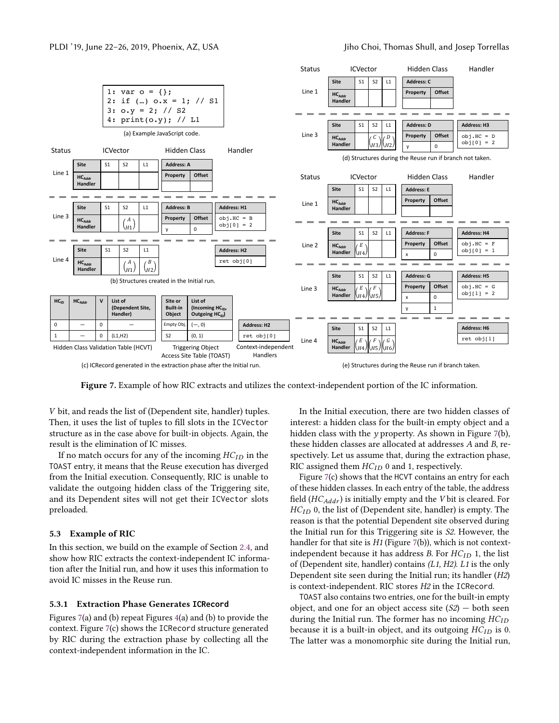<span id="page-7-0"></span>

Figure 7. Example of how RIC extracts and utilizes the context-independent portion of the IC information.

V bit, and reads the list of (Dependent site, handler) tuples. Then, it uses the list of tuples to fill slots in the ICVector structure as in the case above for built-in objects. Again, the result is the elimination of IC misses.

If no match occurs for any of the incoming  $HC_{ID}$  in the TOAST entry, it means that the Reuse execution has diverged from the Initial execution. Consequently, RIC is unable to validate the outgoing hidden class of the Triggering site, and its Dependent sites will not get their ICVector slots preloaded.

## 5.3 Example of RIC

In this section, we build on the example of Section [2.4,](#page-3-2) and show how RIC extracts the context-independent IC information after the Initial run, and how it uses this information to avoid IC misses in the Reuse run.

# 5.3.1 Extraction Phase Generates **ICRecord**

Figures [7\(](#page-7-0)a) and (b) repeat Figures [4\(](#page-3-1)a) and (b) to provide the context. Figure [7\(](#page-7-0)c) shows the ICRecord structure generated by RIC during the extraction phase by collecting all the context-independent information in the IC.

In the Initial execution, there are two hidden classes of interest: a hidden class for the built-in empty object and a hidden class with the *y* property. As shown in Figure  $7(b)$  $7(b)$ , these hidden classes are allocated at addresses A and B, respectively. Let us assume that, during the extraction phase, RIC assigned them  $HC_{ID}$  0 and 1, respectively.

Figure [7\(](#page-7-0)c) shows that the HCVT contains an entry for each of these hidden classes. In each entry of the table, the address field ( $HC_{Addr}$ ) is initially empty and the V bit is cleared. For  $HC_{ID}$  0, the list of (Dependent site, handler) is empty. The reason is that the potential Dependent site observed during the Initial run for this Triggering site is S2. However, the handler for that site is  $H1$  (Figure [7\(](#page-7-0)b)), which is not contextindependent because it has address B. For  $HC_{ID}$  1, the list of (Dependent site, handler) contains  $(L1, H2)$ . L1 is the only Dependent site seen during the Initial run; its handler  $(H2)$ is context-independent. RIC stores H2 in the ICRecord.

TOAST also contains two entries, one for the built-in empty object, and one for an object access site  $(S2)$  – both seen during the Initial run. The former has no incoming  $HC_{ID}$ because it is a built-in object, and its outgoing  $HC_{ID}$  is 0. The latter was a monomorphic site during the Initial run,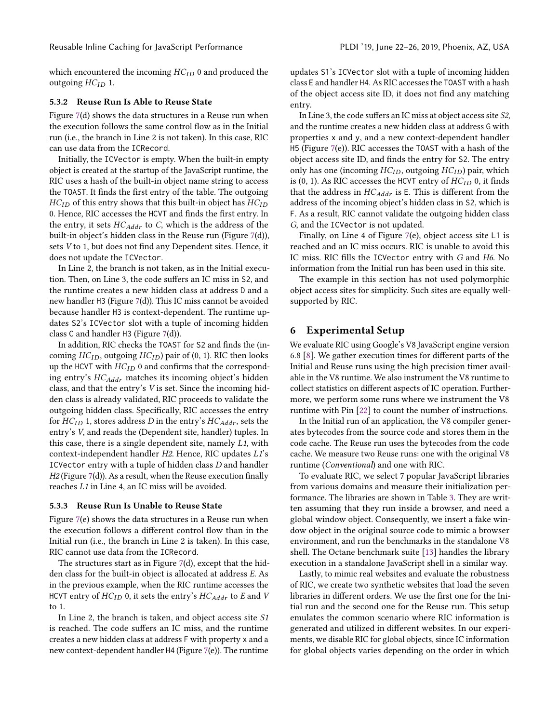which encountered the incoming  $HC_{ID}$  0 and produced the outgoing  $HC_{ID}$  1.

#### 5.3.2 Reuse Run Is Able to Reuse State

Figure [7\(](#page-7-0)d) shows the data structures in a Reuse run when the execution follows the same control flow as in the Initial run (i.e., the branch in Line 2 is not taken). In this case, RIC can use data from the ICRecord.

Initially, the ICVector is empty. When the built-in empty object is created at the startup of the JavaScript runtime, the RIC uses a hash of the built-in object name string to access the TOAST. It finds the first entry of the table. The outgoing  $HC_{ID}$  of this entry shows that this built-in object has  $HC_{ID}$ 0. Hence, RIC accesses the HCVT and finds the first entry. In the entry, it sets  $HC_{Addr}$  to C, which is the address of the built-in object's hidden class in the Reuse run (Figure [7\(](#page-7-0)d)), sets V to 1, but does not find any Dependent sites. Hence, it does not update the ICVector.

In Line 2, the branch is not taken, as in the Initial execution. Then, on Line 3, the code suffers an IC miss in S2, and the runtime creates a new hidden class at address D and a new handler H3 (Figure [7\(](#page-7-0)d)). This IC miss cannot be avoided because handler H3 is context-dependent. The runtime updates S2's ICVector slot with a tuple of incoming hidden class C and handler H3 (Figure [7\(](#page-7-0)d)).

In addition, RIC checks the TOAST for S2 and finds the (incoming  $HC_{ID}$ , outgoing  $HC_{ID}$ ) pair of (0, 1). RIC then looks up the HCVT with  $HC_{ID}$  0 and confirms that the corresponding entry's  $HC_{Addr}$  matches its incoming object's hidden class, and that the entry's V is set. Since the incoming hidden class is already validated, RIC proceeds to validate the outgoing hidden class. Specifically, RIC accesses the entry for  $HC_{ID}$  1, stores address D in the entry's  $HC_{Addr}$ , sets the entry's V, and reads the (Dependent site, handler) tuples. In this case, there is a single dependent site, namely L1, with context-independent handler H2. Hence, RIC updates L1's ICVector entry with a tuple of hidden class D and handler H2 (Figure [7\(](#page-7-0)d)). As a result, when the Reuse execution finally reaches L1 in Line 4, an IC miss will be avoided.

#### 5.3.3 Reuse Run Is Unable to Reuse State

Figure [7\(](#page-7-0)e) shows the data structures in a Reuse run when the execution follows a different control flow than in the Initial run (i.e., the branch in Line 2 is taken). In this case, RIC cannot use data from the ICRecord.

The structures start as in Figure  $7(d)$  $7(d)$ , except that the hidden class for the built-in object is allocated at address E. As in the previous example, when the RIC runtime accesses the HCVT entry of  $HC_{ID}$  0, it sets the entry's  $HC_{Addr}$  to E and V to 1.

In Line 2, the branch is taken, and object access site S1 is reached. The code suffers an IC miss, and the runtime creates a new hidden class at address F with property x and a new context-dependent handler H4 (Figure [7\(](#page-7-0)e)). The runtime updates S1's ICVector slot with a tuple of incoming hidden class E and handler H4. As RIC accesses the TOAST with a hash of the object access site ID, it does not find any matching entry.

In Line 3, the code suffers an IC miss at object access site S2, and the runtime creates a new hidden class at address G with properties x and y, and a new context-dependent handler H5 (Figure [7\(](#page-7-0)e)). RIC accesses the TOAST with a hash of the object access site ID, and finds the entry for S2. The entry only has one (incoming  $HC_{ID}$ , outgoing  $HC_{ID}$ ) pair, which is (0, 1). As RIC accesses the HCVT entry of  $HC_{ID}$  0, it finds that the address in  $HC_{Addr}$  is E. This is different from the address of the incoming object's hidden class in S2, which is F. As a result, RIC cannot validate the outgoing hidden class G, and the ICVector is not updated.

Finally, on Line 4 of Figure [7\(](#page-7-0)e), object access site L1 is reached and an IC miss occurs. RIC is unable to avoid this IC miss. RIC fills the ICVector entry with G and H6. No information from the Initial run has been used in this site.

The example in this section has not used polymorphic object access sites for simplicity. Such sites are equally wellsupported by RIC.

# <span id="page-8-0"></span>6 Experimental Setup

We evaluate RIC using Google's V8 JavaScript engine version 6.8 [\[8\]](#page-12-12). We gather execution times for different parts of the Initial and Reuse runs using the high precision timer available in the V8 runtime. We also instrument the V8 runtime to collect statistics on different aspects of IC operation. Furthermore, we perform some runs where we instrument the V8 runtime with Pin [\[22\]](#page-12-15) to count the number of instructions.

In the Initial run of an application, the V8 compiler generates bytecodes from the source code and stores them in the code cache. The Reuse run uses the bytecodes from the code cache. We measure two Reuse runs: one with the original V8 runtime (Conventional) and one with RIC.

To evaluate RIC, we select 7 popular JavaScript libraries from various domains and measure their initialization performance. The libraries are shown in Table [3.](#page-9-0) They are written assuming that they run inside a browser, and need a global window object. Consequently, we insert a fake window object in the original source code to mimic a browser environment, and run the benchmarks in the standalone V8 shell. The Octane benchmark suite [\[13\]](#page-12-16) handles the library execution in a standalone JavaScript shell in a similar way.

Lastly, to mimic real websites and evaluate the robustness of RIC, we create two synthetic websites that load the seven libraries in different orders. We use the first one for the Initial run and the second one for the Reuse run. This setup emulates the common scenario where RIC information is generated and utilized in different websites. In our experiments, we disable RIC for global objects, since IC information for global objects varies depending on the order in which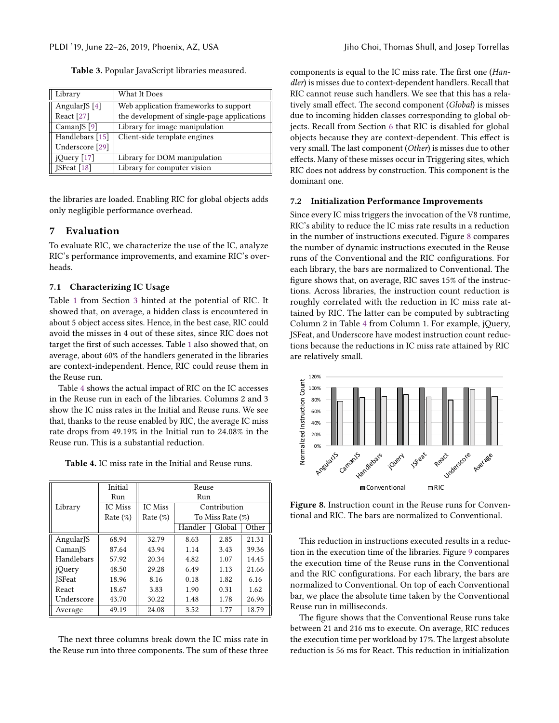<span id="page-9-0"></span>Table 3. Popular JavaScript libraries measured.

| Library               | What It Does                                |  |
|-----------------------|---------------------------------------------|--|
| AngularJS [4]         | Web application frameworks to support       |  |
| React <sup>[27]</sup> | the development of single-page applications |  |
| CamanJS $[9]$         | Library for image manipulation              |  |
| Handlebars [15]       | Client-side template engines                |  |
| Underscore [29]       |                                             |  |
| jQuery $[17]$         | Library for DOM manipulation                |  |
| JSFeat $[18]$         | Library for computer vision                 |  |

the libraries are loaded. Enabling RIC for global objects adds only negligible performance overhead.

## 7 Evaluation

To evaluate RIC, we characterize the use of the IC, analyze RIC's performance improvements, and examine RIC's overheads.

## 7.1 Characterizing IC Usage

Table [1](#page-4-2) from Section [3](#page-3-3) hinted at the potential of RIC. It showed that, on average, a hidden class is encountered in about 5 object access sites. Hence, in the best case, RIC could avoid the misses in 4 out of these sites, since RIC does not target the first of such accesses. Table [1](#page-4-2) also showed that, on average, about 60% of the handlers generated in the libraries are context-independent. Hence, RIC could reuse them in the Reuse run.

Table [4](#page-9-1) shows the actual impact of RIC on the IC accesses in the Reuse run in each of the libraries. Columns 2 and 3 show the IC miss rates in the Initial and Reuse runs. We see that, thanks to the reuse enabled by RIC, the average IC miss rate drops from 49.19% in the Initial run to 24.08% in the Reuse run. This is a substantial reduction.

<span id="page-9-1"></span>Table 4. IC miss rate in the Initial and Reuse runs.

|               | Initial        | Reuse                          |                  |        |       |
|---------------|----------------|--------------------------------|------------------|--------|-------|
|               | Run            | Run                            |                  |        |       |
| Library       | <b>IC</b> Miss | <b>IC</b> Miss<br>Contribution |                  |        |       |
|               | Rate $(\%)$    | Rate $(\%)$                    | To Miss Rate (%) |        |       |
|               |                |                                | Handler          | Global | Other |
| AngularJS     | 68.94          | 32.79                          | 8.63             | 2.85   | 21.31 |
| CamanJS       | 87.64          | 43.94                          | 1.14             | 3.43   | 39.36 |
| Handlebars    | 57.92          | 20.34                          | 4.82             | 1.07   | 14.45 |
| jQuery        | 48.50          | 29.28                          | 6.49             | 1.13   | 21.66 |
| <b>ISFeat</b> | 18.96          | 8.16                           | 0.18             | 1.82   | 6.16  |
| React         | 18.67          | 3.83                           | 1.90             | 0.31   | 1.62  |
| Underscore    | 43.70          | 30.22                          | 1.48             | 1.78   | 26.96 |
| Average       | 49.19          | 24.08                          | 3.52             | 1.77   | 18.79 |

The next three columns break down the IC miss rate in the Reuse run into three components. The sum of these three

components is equal to the IC miss rate. The first one (Handler) is misses due to context-dependent handlers. Recall that RIC cannot reuse such handlers. We see that this has a relatively small effect. The second component (Global) is misses due to incoming hidden classes corresponding to global objects. Recall from Section [6](#page-8-0) that RIC is disabled for global objects because they are context-dependent. This effect is very small. The last component (Other) is misses due to other effects. Many of these misses occur in Triggering sites, which RIC does not address by construction. This component is the dominant one.

#### 7.2 Initialization Performance Improvements

Since every IC miss triggers the invocation of the V8 runtime, RIC's ability to reduce the IC miss rate results in a reduction in the number of instructions executed. Figure [8](#page-9-2) compares the number of dynamic instructions executed in the Reuse runs of the Conventional and the RIC configurations. For each library, the bars are normalized to Conventional. The figure shows that, on average, RIC saves 15% of the instructions. Across libraries, the instruction count reduction is roughly correlated with the reduction in IC miss rate attained by RIC. The latter can be computed by subtracting Column 2 in Table [4](#page-9-1) from Column 1. For example, jQuery, JSFeat, and Underscore have modest instruction count reductions because the reductions in IC miss rate attained by RIC are relatively small.

<span id="page-9-2"></span>

Figure 8. Instruction count in the Reuse runs for Conventional and RIC. The bars are normalized to Conventional.

This reduction in instructions executed results in a reduction in the execution time of the libraries. Figure [9](#page-10-0) compares the execution time of the Reuse runs in the Conventional and the RIC configurations. For each library, the bars are normalized to Conventional. On top of each Conventional bar, we place the absolute time taken by the Conventional Reuse run in milliseconds.

The figure shows that the Conventional Reuse runs take between 21 and 216 ms to execute. On average, RIC reduces the execution time per workload by 17%. The largest absolute reduction is 56 ms for React. This reduction in initialization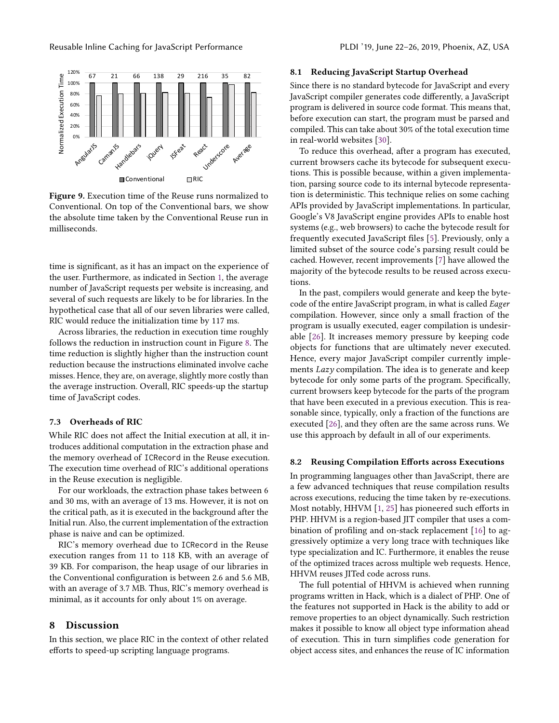<span id="page-10-0"></span>

Figure 9. Execution time of the Reuse runs normalized to Conventional. On top of the Conventional bars, we show the absolute time taken by the Conventional Reuse run in milliseconds.

time is significant, as it has an impact on the experience of the user. Furthermore, as indicated in Section [1,](#page-0-0) the average number of JavaScript requests per website is increasing, and several of such requests are likely to be for libraries. In the hypothetical case that all of our seven libraries were called, RIC would reduce the initialization time by 117 ms.

Across libraries, the reduction in execution time roughly follows the reduction in instruction count in Figure [8.](#page-9-2) The time reduction is slightly higher than the instruction count reduction because the instructions eliminated involve cache misses. Hence, they are, on average, slightly more costly than the average instruction. Overall, RIC speeds-up the startup time of JavaScript codes.

# 7.3 Overheads of RIC

While RIC does not affect the Initial execution at all, it introduces additional computation in the extraction phase and the memory overhead of ICRecord in the Reuse execution. The execution time overhead of RIC's additional operations in the Reuse execution is negligible.

For our workloads, the extraction phase takes between 6 and 30 ms, with an average of 13 ms. However, it is not on the critical path, as it is executed in the background after the Initial run. Also, the current implementation of the extraction phase is naive and can be optimized.

RIC's memory overhead due to ICRecord in the Reuse execution ranges from 11 to 118 KB, with an average of 39 KB. For comparison, the heap usage of our libraries in the Conventional configuration is between 2.6 and 5.6 MB, with an average of 3.7 MB. Thus, RIC's memory overhead is minimal, as it accounts for only about 1% on average.

## 8 Discussion

In this section, we place RIC in the context of other related efforts to speed-up scripting language programs.

#### 8.1 Reducing JavaScript Startup Overhead

Since there is no standard bytecode for JavaScript and every JavaScript compiler generates code differently, a JavaScript program is delivered in source code format. This means that, before execution can start, the program must be parsed and compiled. This can take about 30% of the total execution time in real-world websites [\[30\]](#page-12-24).

To reduce this overhead, after a program has executed, current browsers cache its bytecode for subsequent executions. This is possible because, within a given implementation, parsing source code to its internal bytecode representation is deterministic. This technique relies on some caching APIs provided by JavaScript implementations. In particular, Google's V8 JavaScript engine provides APIs to enable host systems (e.g., web browsers) to cache the bytecode result for frequently executed JavaScript files [\[5\]](#page-12-25). Previously, only a limited subset of the source code's parsing result could be cached. However, recent improvements [\[7\]](#page-12-26) have allowed the majority of the bytecode results to be reused across executions.

In the past, compilers would generate and keep the bytecode of the entire JavaScript program, in what is called Eager compilation. However, since only a small fraction of the program is usually executed, eager compilation is undesirable [\[26\]](#page-12-27). It increases memory pressure by keeping code objects for functions that are ultimately never executed. Hence, every major JavaScript compiler currently implements Lazy compilation. The idea is to generate and keep bytecode for only some parts of the program. Specifically, current browsers keep bytecode for the parts of the program that have been executed in a previous execution. This is reasonable since, typically, only a fraction of the functions are executed [\[26\]](#page-12-27), and they often are the same across runs. We use this approach by default in all of our experiments.

#### 8.2 Reusing Compilation Efforts across Executions

In programming languages other than JavaScript, there are a few advanced techniques that reuse compilation results across executions, reducing the time taken by re-executions. Most notably, HHVM [\[1,](#page-12-7) [25\]](#page-12-8) has pioneered such efforts in PHP. HHVM is a region-based JIT compiler that uses a combination of profiling and on-stack replacement [\[16\]](#page-12-28) to aggressively optimize a very long trace with techniques like type specialization and IC. Furthermore, it enables the reuse of the optimized traces across multiple web requests. Hence, HHVM reuses JITed code across runs.

The full potential of HHVM is achieved when running programs written in Hack, which is a dialect of PHP. One of the features not supported in Hack is the ability to add or remove properties to an object dynamically. Such restriction makes it possible to know all object type information ahead of execution. This in turn simplifies code generation for object access sites, and enhances the reuse of IC information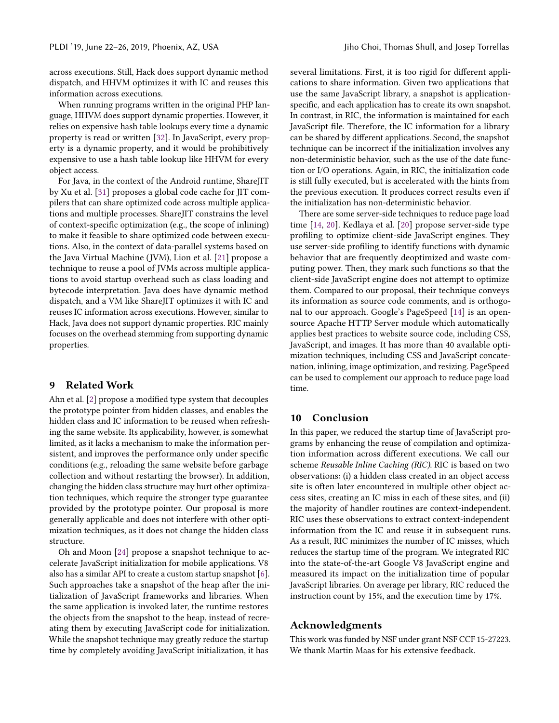across executions. Still, Hack does support dynamic method dispatch, and HHVM optimizes it with IC and reuses this information across executions.

When running programs written in the original PHP language, HHVM does support dynamic properties. However, it relies on expensive hash table lookups every time a dynamic property is read or written [\[32\]](#page-12-29). In JavaScript, every property is a dynamic property, and it would be prohibitively expensive to use a hash table lookup like HHVM for every object access.

For Java, in the context of the Android runtime, ShareJIT by Xu et al. [\[31\]](#page-12-10) proposes a global code cache for JIT compilers that can share optimized code across multiple applications and multiple processes. ShareJIT constrains the level of context-specific optimization (e.g., the scope of inlining) to make it feasible to share optimized code between executions. Also, in the context of data-parallel systems based on the Java Virtual Machine (JVM), Lion et al. [\[21\]](#page-12-9) propose a technique to reuse a pool of JVMs across multiple applications to avoid startup overhead such as class loading and bytecode interpretation. Java does have dynamic method dispatch, and a VM like ShareJIT optimizes it with IC and reuses IC information across executions. However, similar to Hack, Java does not support dynamic properties. RIC mainly focuses on the overhead stemming from supporting dynamic properties.

## 9 Related Work

Ahn et al. [\[2\]](#page-12-30) propose a modified type system that decouples the prototype pointer from hidden classes, and enables the hidden class and IC information to be reused when refreshing the same website. Its applicability, however, is somewhat limited, as it lacks a mechanism to make the information persistent, and improves the performance only under specific conditions (e.g., reloading the same website before garbage collection and without restarting the browser). In addition, changing the hidden class structure may hurt other optimization techniques, which require the stronger type guarantee provided by the prototype pointer. Our proposal is more generally applicable and does not interfere with other optimization techniques, as it does not change the hidden class structure.

Oh and Moon [\[24\]](#page-12-6) propose a snapshot technique to accelerate JavaScript initialization for mobile applications. V8 also has a similar API to create a custom startup snapshot [\[6\]](#page-12-31). Such approaches take a snapshot of the heap after the initialization of JavaScript frameworks and libraries. When the same application is invoked later, the runtime restores the objects from the snapshot to the heap, instead of recreating them by executing JavaScript code for initialization. While the snapshot technique may greatly reduce the startup time by completely avoiding JavaScript initialization, it has

several limitations. First, it is too rigid for different applications to share information. Given two applications that use the same JavaScript library, a snapshot is applicationspecific, and each application has to create its own snapshot. In contrast, in RIC, the information is maintained for each JavaScript file. Therefore, the IC information for a library can be shared by different applications. Second, the snapshot technique can be incorrect if the initialization involves any non-deterministic behavior, such as the use of the date function or I/O operations. Again, in RIC, the initialization code is still fully executed, but is accelerated with the hints from the previous execution. It produces correct results even if the initialization has non-deterministic behavior.

There are some server-side techniques to reduce page load time [\[14,](#page-12-32) [20\]](#page-12-33). Kedlaya et al. [\[20\]](#page-12-33) propose server-side type profiling to optimize client-side JavaScript engines. They use server-side profiling to identify functions with dynamic behavior that are frequently deoptimized and waste computing power. Then, they mark such functions so that the client-side JavaScript engine does not attempt to optimize them. Compared to our proposal, their technique conveys its information as source code comments, and is orthogonal to our approach. Google's PageSpeed [\[14\]](#page-12-32) is an opensource Apache HTTP Server module which automatically applies best practices to website source code, including CSS, JavaScript, and images. It has more than 40 available optimization techniques, including CSS and JavaScript concatenation, inlining, image optimization, and resizing. PageSpeed can be used to complement our approach to reduce page load time.

# 10 Conclusion

In this paper, we reduced the startup time of JavaScript programs by enhancing the reuse of compilation and optimization information across different executions. We call our scheme Reusable Inline Caching (RIC). RIC is based on two observations: (i) a hidden class created in an object access site is often later encountered in multiple other object access sites, creating an IC miss in each of these sites, and (ii) the majority of handler routines are context-independent. RIC uses these observations to extract context-independent information from the IC and reuse it in subsequent runs. As a result, RIC minimizes the number of IC misses, which reduces the startup time of the program. We integrated RIC into the state-of-the-art Google V8 JavaScript engine and measured its impact on the initialization time of popular JavaScript libraries. On average per library, RIC reduced the instruction count by 15%, and the execution time by 17%.

## Acknowledgments

This work was funded by NSF under grant NSF CCF 15-27223. We thank Martin Maas for his extensive feedback.